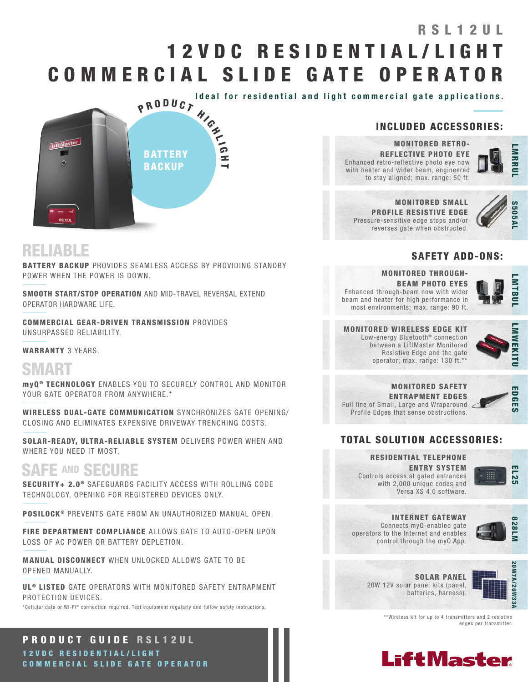# 1 2 V D C R E S I D E N T I A L / L I G H T COMMERCIAL SLIDE GATE OPERATOR RSI 1 2 UL

Ideal for residential and light commercial gate applications.



### INCLUDED ACCESSORIES:

MONITORED SMALL PROFILE RESISTIVE EDGE Pressure-sensitive edge stops and/or reverses gate when obstructed.

MONITORED RETRO-REFLECTIVE PHOTO EYE Enhanced retro-reflective photo eye now with heater and wider beam, engineered to stay aligned; max. range: 50 ft.

**IMRRU** 



### SAFETY ADD-ONS:

MONITORED THROUGH-BEAM PHOTO EYES Enhanced through-beam now with wider beam and heater for high performance in most environments; max. range: 90 ft.



#### MONITORED WIRELESS EDGE KIT Low-energy Bluetooth<sup>®</sup> connection between a LiftMaster Monitored Resistive Edge and the gate



#### MONITORED SAFETY ENTRAPMENT EDGES Full line of Small, Large and Wraparound Profile Edges that sense obstructions.

operator; max. range: 130 ft.\*\*



### TOTAL SOLUTION ACCESSORIES:

RESIDENTIAL TELEPHONE ENTRY SYSTEM Controls access at gated entrances with 2,000 unique codes and Versa XS 4.0 software.



INTERNET GATEWAY Connects myQ-enabled gate



operators to the Internet and enables control through the myQ App.



SOLAR PANEL 20W 12V solar panel kits (panel, batteries, harness).



\*\*Wireless kit for up to 4 transmitters and 2 resistive edges per transmitter.



## RELIABLE

**BATTERY BACKUP** PROVIDES SEAMLESS ACCESS BY PROVIDING STANDBY POWER WHEN THE POWER IS DOWN.

SMOOTH START/STOP OPERATION AND MID-TRAVEL REVERSAL EXTEND OPERATOR HARDWARE LIFE.

COMMERCIAL GEAR-DRIVEN TRANSMISSION PROVIDES UNSURPASSED RELIABILITY.

#### WARRANTY 3 YEARS.

# **SMART**

myQ<sup>®</sup> TECHNOLOGY ENABLES YOU TO SECURELY CONTROL AND MONITOR YOUR GATE OPERATOR FROM ANYWHERE.\*

WIRELESS DUAL-GATE COMMUNICATION SYNCHRONIZES GATE OPENING/ CLOSING AND ELIMINATES EXPENSIVE DRIVEWAY TRENCHING COSTS.

SOLAR-READY, ULTRA-RELIABLE SYSTEM DELIVERS POWER WHEN AND WHERE YOU NEED IT MOST.

## SAFE AND SECURE

SECURITY+ 2.0<sup>®</sup> SAFEGUARDS FACILITY ACCESS WITH ROLLING CODE TECHNOLOGY, OPENING FOR REGISTERED DEVICES ONLY.

POSILOCK<sup>®</sup> PREVENTS GATE FROM AN UNAUTHORIZED MANUAL OPEN.

FIRE DEPARTMENT COMPLIANCE ALLOWS GATE TO AUTO-OPEN UPON LOSS OF AC POWER OR BATTERY DEPLETION.

MANUAL DISCONNECT WHEN UNLOCKED ALLOWS GATE TO BE OPENED MANUALLY.

UL<sup>®</sup> LISTED GATE OPERATORS WITH MONITORED SAFETY ENTRAPMENT PROTECTION DEVICES.

\*Cellular data or Wi-Fi® connection required. Test equipment regularly and follow safety instructions.

PRODUCT GUIDE RSL12UL 1 2 V D C R E S I D E N T I A L / L I G H T COMMERCIAL SLIDE GATE OPERATOR